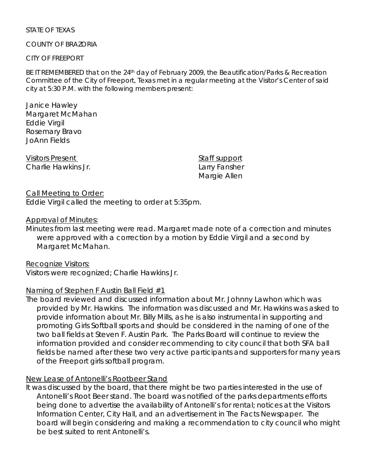#### STATE OF TEXAS

### COUNTY OF BRAZORIA

#### CITY OF FREEPORT

BE IT REMEMBERED that on the 24<sup>th</sup> day of February 2009, the Beautification/Parks & Recreation Committee of the City of Freeport, Texas met in a regular meeting at the Visitor's Center of said city at 5:30 P.M. with the following members present:

Janice Hawley Margaret McMahan Eddie Virgil Rosemary Bravo JoAnn Fields

Visitors Present **Staff support** Charlie Hawkins Jr. **Larry Fansher** Larry Fansher

Margie Allen

#### Call Meeting to Order: Eddie Virgil called the meeting to order at 5:35pm.

## Approval of Minutes:

Minutes from last meeting were read. Margaret made note of a correction and minutes were approved with a correction by a motion by Eddie Virgil and a second by Margaret McMahan.

Recognize Visitors: Visitors were recognized; Charlie Hawkins Jr.

## Naming of Stephen F Austin Ball Field #1

The board reviewed and discussed information about Mr. Johnny Lawhon which was provided by Mr. Hawkins. The information was discussed and Mr. Hawkins was asked to provide information about Mr. Billy Mills, as he is also instrumental in supporting and promoting Girls Softball sports and should be considered in the naming of one of the two ball fields at Steven F. Austin Park. The Parks Board will continue to review the information provided and consider recommending to city council that both SFA ball fields be named after these two very active participants and supporters for many years of the Freeport girls softball program.

## New Lease of Antonelli's Rootbeer Stand

It was discussed by the board, that there might be two parties interested in the use of Antonelli's Root Beer stand. The board was notified of the parks departments efforts being done to advertise the availability of Antonelli's for rental; notices at the Visitors Information Center, City Hall, and an advertisement in The Facts Newspaper. The board will begin considering and making a recommendation to city council who might be best suited to rent Antonelli's.